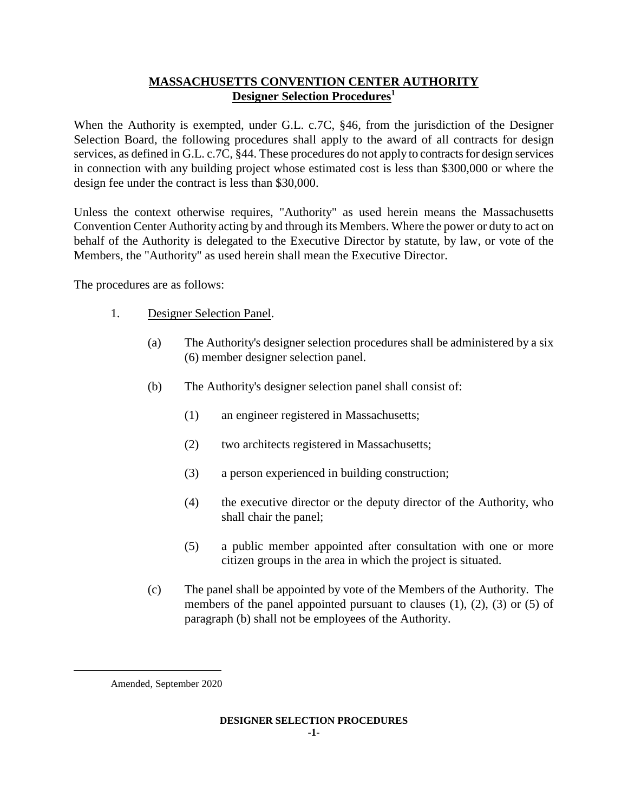# **MASSACHUSETTS CONVENTION CENTER AUTHORITY Designer Selection Procedures<sup>1</sup>**

When the Authority is exempted, under G.L. c.7C, §46, from the jurisdiction of the Designer Selection Board, the following procedures shall apply to the award of all contracts for design services, as defined in G.L. c.7C, §44. These procedures do not apply to contracts for design services in connection with any building project whose estimated cost is less than \$300,000 or where the design fee under the contract is less than \$30,000.

Unless the context otherwise requires, "Authority" as used herein means the Massachusetts Convention Center Authority acting by and through its Members. Where the power or duty to act on behalf of the Authority is delegated to the Executive Director by statute, by law, or vote of the Members, the "Authority" as used herein shall mean the Executive Director.

The procedures are as follows:

- 1. Designer Selection Panel.
	- (a) The Authority's designer selection procedures shall be administered by a six (6) member designer selection panel.
	- (b) The Authority's designer selection panel shall consist of:
		- (1) an engineer registered in Massachusetts;
		- (2) two architects registered in Massachusetts;
		- (3) a person experienced in building construction;
		- (4) the executive director or the deputy director of the Authority, who shall chair the panel;
		- (5) a public member appointed after consultation with one or more citizen groups in the area in which the project is situated.
	- (c) The panel shall be appointed by vote of the Members of the Authority. The members of the panel appointed pursuant to clauses  $(1)$ ,  $(2)$ ,  $(3)$  or  $(5)$  of paragraph (b) shall not be employees of the Authority.

L,

Amended, September 2020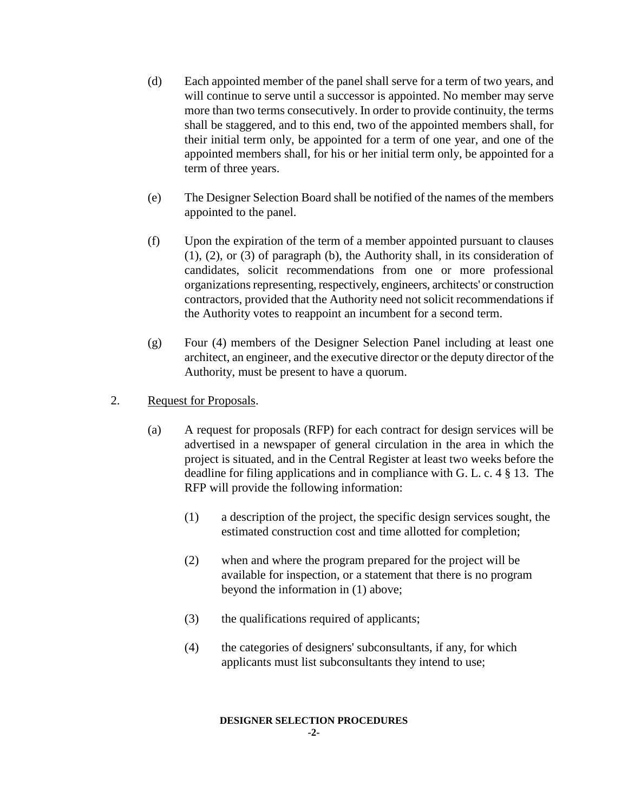- (d) Each appointed member of the panel shall serve for a term of two years, and will continue to serve until a successor is appointed. No member may serve more than two terms consecutively. In order to provide continuity, the terms shall be staggered, and to this end, two of the appointed members shall, for their initial term only, be appointed for a term of one year, and one of the appointed members shall, for his or her initial term only, be appointed for a term of three years.
- (e) The Designer Selection Board shall be notified of the names of the members appointed to the panel.
- (f) Upon the expiration of the term of a member appointed pursuant to clauses (1), (2), or (3) of paragraph (b), the Authority shall, in its consideration of candidates, solicit recommendations from one or more professional organizations representing, respectively, engineers, architects' or construction contractors, provided that the Authority need not solicit recommendations if the Authority votes to reappoint an incumbent for a second term.
- (g) Four (4) members of the Designer Selection Panel including at least one architect, an engineer, and the executive director or the deputy director of the Authority, must be present to have a quorum.
- 2. Request for Proposals.
	- (a) A request for proposals (RFP) for each contract for design services will be advertised in a newspaper of general circulation in the area in which the project is situated, and in the Central Register at least two weeks before the deadline for filing applications and in compliance with G. L. c. 4 § 13. The RFP will provide the following information:
		- (1) a description of the project, the specific design services sought, the estimated construction cost and time allotted for completion;
		- (2) when and where the program prepared for the project will be available for inspection, or a statement that there is no program beyond the information in (1) above;
		- (3) the qualifications required of applicants;
		- (4) the categories of designers' subconsultants, if any, for which applicants must list subconsultants they intend to use;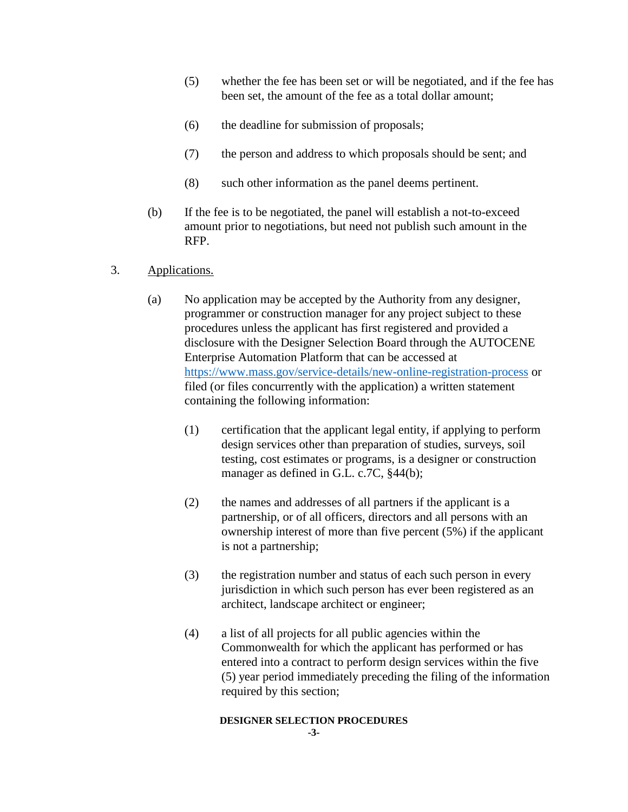- (5) whether the fee has been set or will be negotiated, and if the fee has been set, the amount of the fee as a total dollar amount;
- (6) the deadline for submission of proposals;
- (7) the person and address to which proposals should be sent; and
- (8) such other information as the panel deems pertinent.
- (b) If the fee is to be negotiated, the panel will establish a not-to-exceed amount prior to negotiations, but need not publish such amount in the RFP.
- 3. Applications.
	- (a) No application may be accepted by the Authority from any designer, programmer or construction manager for any project subject to these procedures unless the applicant has first registered and provided a disclosure with the Designer Selection Board through the AUTOCENE Enterprise Automation Platform that can be accessed at <https://www.mass.gov/service-details/new-online-registration-process> or filed (or files concurrently with the application) a written statement containing the following information:
		- (1) certification that the applicant legal entity, if applying to perform design services other than preparation of studies, surveys, soil testing, cost estimates or programs, is a designer or construction manager as defined in G.L. c.7C, §44(b);
		- (2) the names and addresses of all partners if the applicant is a partnership, or of all officers, directors and all persons with an ownership interest of more than five percent (5%) if the applicant is not a partnership;
		- (3) the registration number and status of each such person in every jurisdiction in which such person has ever been registered as an architect, landscape architect or engineer;
		- (4) a list of all projects for all public agencies within the Commonwealth for which the applicant has performed or has entered into a contract to perform design services within the five (5) year period immediately preceding the filing of the information required by this section;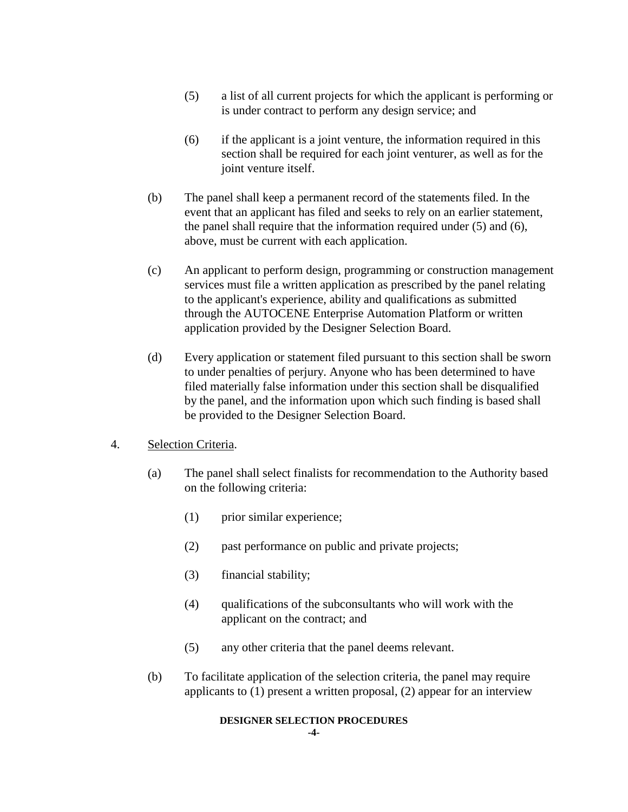- (5) a list of all current projects for which the applicant is performing or is under contract to perform any design service; and
- (6) if the applicant is a joint venture, the information required in this section shall be required for each joint venturer, as well as for the joint venture itself.
- (b) The panel shall keep a permanent record of the statements filed. In the event that an applicant has filed and seeks to rely on an earlier statement, the panel shall require that the information required under (5) and (6), above, must be current with each application.
- (c) An applicant to perform design, programming or construction management services must file a written application as prescribed by the panel relating to the applicant's experience, ability and qualifications as submitted through the AUTOCENE Enterprise Automation Platform or written application provided by the Designer Selection Board.
- (d) Every application or statement filed pursuant to this section shall be sworn to under penalties of perjury. Anyone who has been determined to have filed materially false information under this section shall be disqualified by the panel, and the information upon which such finding is based shall be provided to the Designer Selection Board.

### 4. Selection Criteria.

- (a) The panel shall select finalists for recommendation to the Authority based on the following criteria:
	- (1) prior similar experience;
	- (2) past performance on public and private projects;
	- (3) financial stability;
	- (4) qualifications of the subconsultants who will work with the applicant on the contract; and
	- (5) any other criteria that the panel deems relevant.
- (b) To facilitate application of the selection criteria, the panel may require applicants to (1) present a written proposal, (2) appear for an interview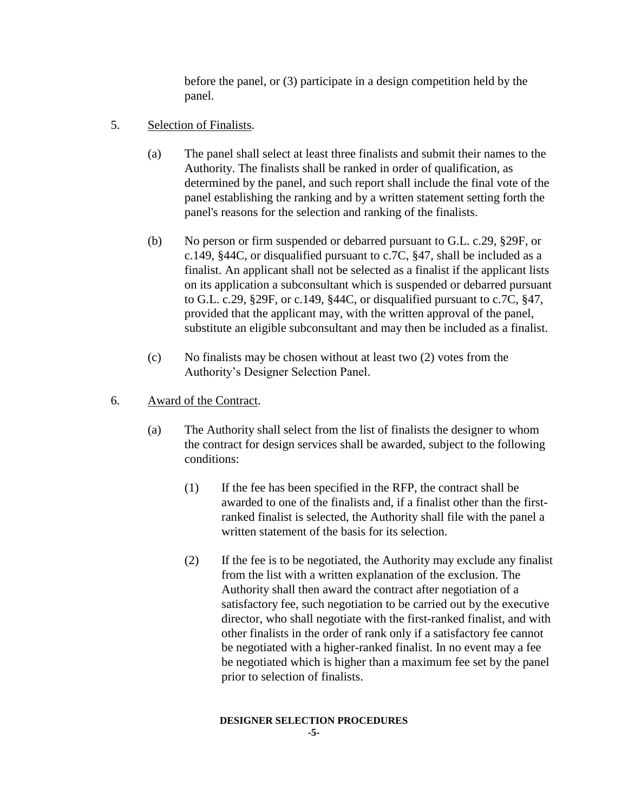before the panel, or (3) participate in a design competition held by the panel.

- 5. Selection of Finalists.
	- (a) The panel shall select at least three finalists and submit their names to the Authority. The finalists shall be ranked in order of qualification, as determined by the panel, and such report shall include the final vote of the panel establishing the ranking and by a written statement setting forth the panel's reasons for the selection and ranking of the finalists.
	- (b) No person or firm suspended or debarred pursuant to G.L. c.29, §29F, or c.149, §44C, or disqualified pursuant to c.7C, §47, shall be included as a finalist. An applicant shall not be selected as a finalist if the applicant lists on its application a subconsultant which is suspended or debarred pursuant to G.L. c.29, §29F, or c.149, §44C, or disqualified pursuant to c.7C, §47, provided that the applicant may, with the written approval of the panel, substitute an eligible subconsultant and may then be included as a finalist.
	- (c) No finalists may be chosen without at least two (2) votes from the Authority's Designer Selection Panel.
- 6. Award of the Contract.
	- (a) The Authority shall select from the list of finalists the designer to whom the contract for design services shall be awarded, subject to the following conditions:
		- (1) If the fee has been specified in the RFP, the contract shall be awarded to one of the finalists and, if a finalist other than the firstranked finalist is selected, the Authority shall file with the panel a written statement of the basis for its selection.
		- (2) If the fee is to be negotiated, the Authority may exclude any finalist from the list with a written explanation of the exclusion. The Authority shall then award the contract after negotiation of a satisfactory fee, such negotiation to be carried out by the executive director, who shall negotiate with the first-ranked finalist, and with other finalists in the order of rank only if a satisfactory fee cannot be negotiated with a higher-ranked finalist. In no event may a fee be negotiated which is higher than a maximum fee set by the panel prior to selection of finalists.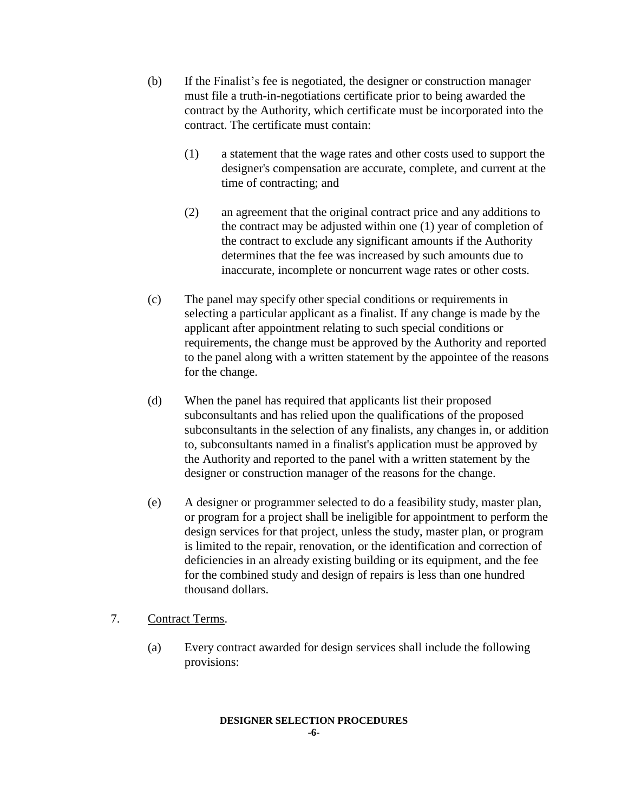- (b) If the Finalist's fee is negotiated, the designer or construction manager must file a truth-in-negotiations certificate prior to being awarded the contract by the Authority, which certificate must be incorporated into the contract. The certificate must contain:
	- (1) a statement that the wage rates and other costs used to support the designer's compensation are accurate, complete, and current at the time of contracting; and
	- (2) an agreement that the original contract price and any additions to the contract may be adjusted within one (1) year of completion of the contract to exclude any significant amounts if the Authority determines that the fee was increased by such amounts due to inaccurate, incomplete or noncurrent wage rates or other costs.
- (c) The panel may specify other special conditions or requirements in selecting a particular applicant as a finalist. If any change is made by the applicant after appointment relating to such special conditions or requirements, the change must be approved by the Authority and reported to the panel along with a written statement by the appointee of the reasons for the change.
- (d) When the panel has required that applicants list their proposed subconsultants and has relied upon the qualifications of the proposed subconsultants in the selection of any finalists, any changes in, or addition to, subconsultants named in a finalist's application must be approved by the Authority and reported to the panel with a written statement by the designer or construction manager of the reasons for the change.
- (e) A designer or programmer selected to do a feasibility study, master plan, or program for a project shall be ineligible for appointment to perform the design services for that project, unless the study, master plan, or program is limited to the repair, renovation, or the identification and correction of deficiencies in an already existing building or its equipment, and the fee for the combined study and design of repairs is less than one hundred thousand dollars.
- 7. Contract Terms.
	- (a) Every contract awarded for design services shall include the following provisions: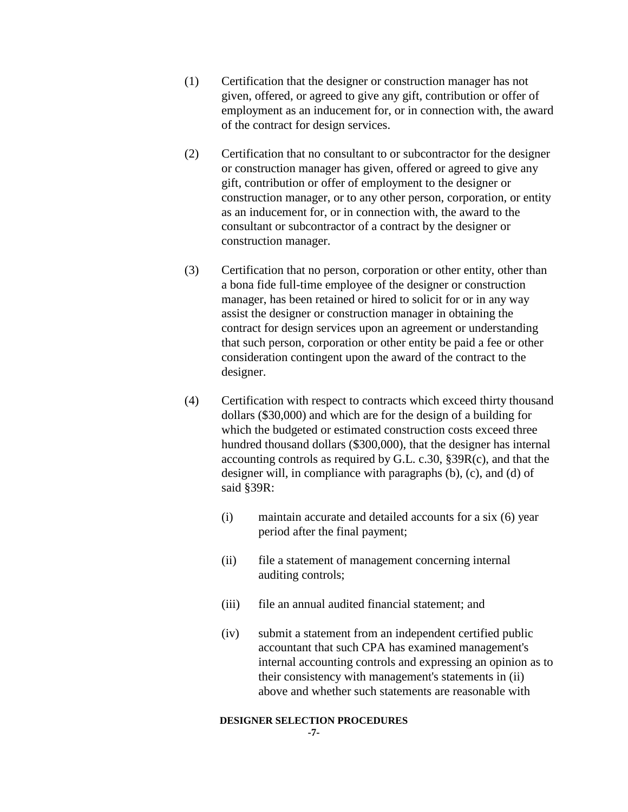- (1) Certification that the designer or construction manager has not given, offered, or agreed to give any gift, contribution or offer of employment as an inducement for, or in connection with, the award of the contract for design services.
- (2) Certification that no consultant to or subcontractor for the designer or construction manager has given, offered or agreed to give any gift, contribution or offer of employment to the designer or construction manager, or to any other person, corporation, or entity as an inducement for, or in connection with, the award to the consultant or subcontractor of a contract by the designer or construction manager.
- (3) Certification that no person, corporation or other entity, other than a bona fide full-time employee of the designer or construction manager, has been retained or hired to solicit for or in any way assist the designer or construction manager in obtaining the contract for design services upon an agreement or understanding that such person, corporation or other entity be paid a fee or other consideration contingent upon the award of the contract to the designer.
- (4) Certification with respect to contracts which exceed thirty thousand dollars (\$30,000) and which are for the design of a building for which the budgeted or estimated construction costs exceed three hundred thousand dollars (\$300,000), that the designer has internal accounting controls as required by G.L. c.30, §39R(c), and that the designer will, in compliance with paragraphs (b), (c), and (d) of said §39R:
	- (i) maintain accurate and detailed accounts for a six (6) year period after the final payment;
	- (ii) file a statement of management concerning internal auditing controls;
	- (iii) file an annual audited financial statement; and
	- (iv) submit a statement from an independent certified public accountant that such CPA has examined management's internal accounting controls and expressing an opinion as to their consistency with management's statements in (ii) above and whether such statements are reasonable with

#### **DESIGNER SELECTION PROCEDURES**

**-7-**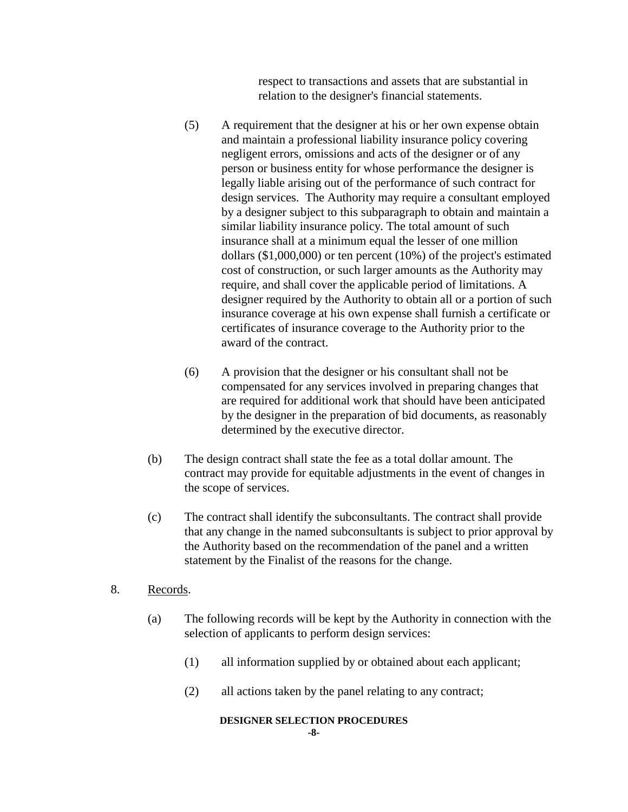respect to transactions and assets that are substantial in relation to the designer's financial statements.

- (5) A requirement that the designer at his or her own expense obtain and maintain a professional liability insurance policy covering negligent errors, omissions and acts of the designer or of any person or business entity for whose performance the designer is legally liable arising out of the performance of such contract for design services. The Authority may require a consultant employed by a designer subject to this subparagraph to obtain and maintain a similar liability insurance policy. The total amount of such insurance shall at a minimum equal the lesser of one million dollars (\$1,000,000) or ten percent (10%) of the project's estimated cost of construction, or such larger amounts as the Authority may require, and shall cover the applicable period of limitations. A designer required by the Authority to obtain all or a portion of such insurance coverage at his own expense shall furnish a certificate or certificates of insurance coverage to the Authority prior to the award of the contract.
- (6) A provision that the designer or his consultant shall not be compensated for any services involved in preparing changes that are required for additional work that should have been anticipated by the designer in the preparation of bid documents, as reasonably determined by the executive director.
- (b) The design contract shall state the fee as a total dollar amount. The contract may provide for equitable adjustments in the event of changes in the scope of services.
- (c) The contract shall identify the subconsultants. The contract shall provide that any change in the named subconsultants is subject to prior approval by the Authority based on the recommendation of the panel and a written statement by the Finalist of the reasons for the change.
- 8. Records.
	- (a) The following records will be kept by the Authority in connection with the selection of applicants to perform design services:
		- (1) all information supplied by or obtained about each applicant;
		- (2) all actions taken by the panel relating to any contract;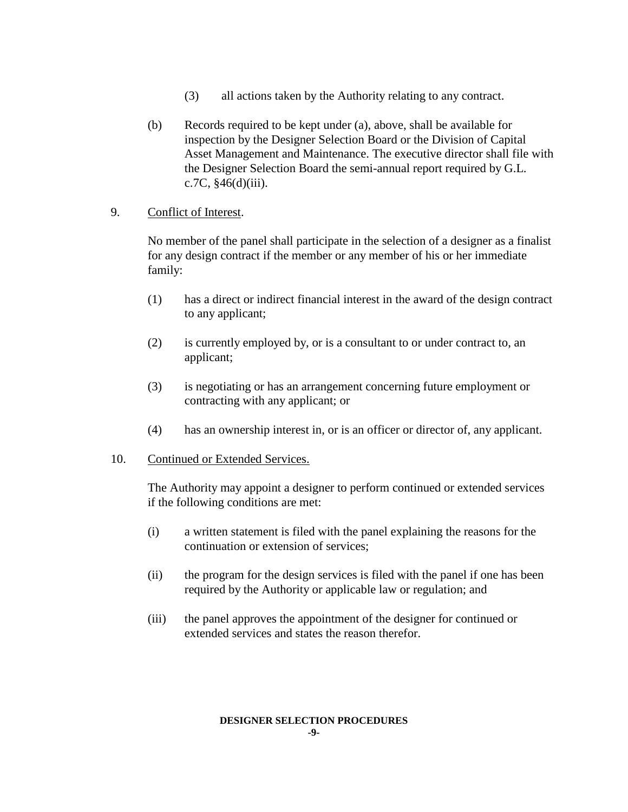- (3) all actions taken by the Authority relating to any contract.
- (b) Records required to be kept under (a), above, shall be available for inspection by the Designer Selection Board or the Division of Capital Asset Management and Maintenance. The executive director shall file with the Designer Selection Board the semi-annual report required by G.L. c.7C,  $§46(d)(iii)$ .

### 9. Conflict of Interest.

No member of the panel shall participate in the selection of a designer as a finalist for any design contract if the member or any member of his or her immediate family:

- (1) has a direct or indirect financial interest in the award of the design contract to any applicant;
- (2) is currently employed by, or is a consultant to or under contract to, an applicant;
- (3) is negotiating or has an arrangement concerning future employment or contracting with any applicant; or
- (4) has an ownership interest in, or is an officer or director of, any applicant.
- 10. Continued or Extended Services.

The Authority may appoint a designer to perform continued or extended services if the following conditions are met:

- (i) a written statement is filed with the panel explaining the reasons for the continuation or extension of services;
- (ii) the program for the design services is filed with the panel if one has been required by the Authority or applicable law or regulation; and
- (iii) the panel approves the appointment of the designer for continued or extended services and states the reason therefor.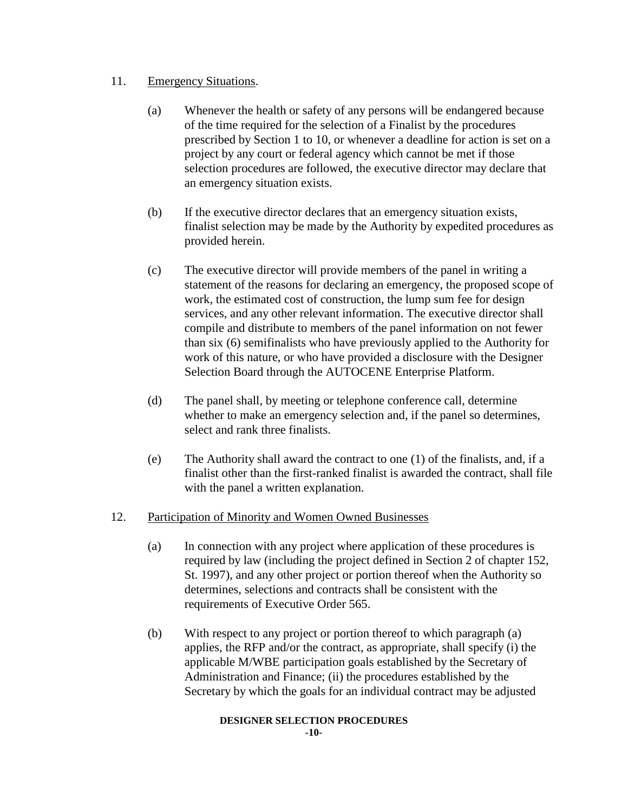# 11. Emergency Situations.

- (a) Whenever the health or safety of any persons will be endangered because of the time required for the selection of a Finalist by the procedures prescribed by Section 1 to 10, or whenever a deadline for action is set on a project by any court or federal agency which cannot be met if those selection procedures are followed, the executive director may declare that an emergency situation exists.
- (b) If the executive director declares that an emergency situation exists, finalist selection may be made by the Authority by expedited procedures as provided herein.
- (c) The executive director will provide members of the panel in writing a statement of the reasons for declaring an emergency, the proposed scope of work, the estimated cost of construction, the lump sum fee for design services, and any other relevant information. The executive director shall compile and distribute to members of the panel information on not fewer than six (6) semifinalists who have previously applied to the Authority for work of this nature, or who have provided a disclosure with the Designer Selection Board through the AUTOCENE Enterprise Platform.
- (d) The panel shall, by meeting or telephone conference call, determine whether to make an emergency selection and, if the panel so determines, select and rank three finalists.
- (e) The Authority shall award the contract to one (1) of the finalists, and, if a finalist other than the first-ranked finalist is awarded the contract, shall file with the panel a written explanation.

# 12. Participation of Minority and Women Owned Businesses

- (a) In connection with any project where application of these procedures is required by law (including the project defined in Section 2 of chapter 152, St. 1997), and any other project or portion thereof when the Authority so determines, selections and contracts shall be consistent with the requirements of Executive Order 565.
- (b) With respect to any project or portion thereof to which paragraph (a) applies, the RFP and/or the contract, as appropriate, shall specify (i) the applicable M/WBE participation goals established by the Secretary of Administration and Finance; (ii) the procedures established by the Secretary by which the goals for an individual contract may be adjusted